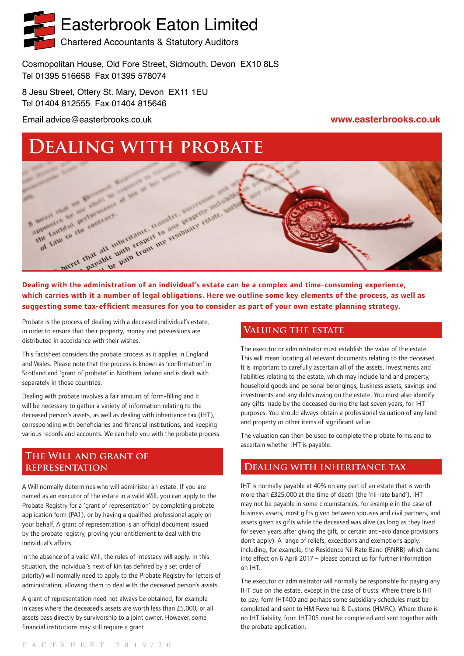# Easterbrook Eaton Limited

Chartered Accountants & Statutory Auditors

Cosmopolitan House, Old Fore Street, Sidmouth, Devon EX10 8LS Tel 01395 516658 Fax 01395 578074

8 Jesu Street, Ottery St. Mary, Devon EX11 1EU Tel 01404 812555 Fax 01404 815646

Email advice@easterbrooks.co.uk **www.easterbrooks.co.uk**

# **Dealing with probate**



**which carries with it a number of legal obligations. Here we outline some key elements of the process, as well as suggesting some tax-efficient measures for you to consider as part of your own estate planning strategy.**

Probate is the process of dealing with a deceased individual's estate, in order to ensure that their property, money and possessions are distributed in accordance with their wishes.

This factsheet considers the probate process as it applies in England and Wales. Please note that the process is known as 'confirmation' in Scotland and 'grant of probate' in Northern Ireland and is dealt with separately in those countries.

Dealing with probate involves a fair amount of form-filling and it will be necessary to gather a variety of information relating to the deceased person's assets, as well as dealing with inheritance tax (IHT), corresponding with beneficiaries and financial institutions, and keeping various records and accounts. We can help you with the probate process.

# **The Will and grant of representation**

A Will normally determines who will administer an estate. If you are named as an executor of the estate in a valid Will, you can apply to the Probate Registry for a 'grant of representation' by completing probate application form (PA1), or by having a qualified professional apply on your behalf. A grant of representation is an official document issued by the probate registry, proving your entitlement to deal with the individual's affairs.

In the absence of a valid Will, the rules of intestacy will apply. In this situation, the individual's next of kin (as defined by a set order of priority) will normally need to apply to the Probate Registry for letters of administration, allowing them to deal with the deceased person's assets.

A grant of representation need not always be obtained, for example in cases where the deceased's assets are worth less than £5,000, or all assets pass directly by survivorship to a joint owner. However, some financial institutions may still require a grant.

# **Valuing the estate**

The executor or administrator must establish the value of the estate. This will mean locating all relevant documents relating to the deceased. It is important to carefully ascertain all of the assets, investments and liabilities relating to the estate, which may include land and property, household goods and personal belongings, business assets, savings and investments and any debts owing on the estate. You must also identify any gifts made by the deceased during the last seven years, for IHT purposes. You should always obtain a professional valuation of any land and property or other items of significant value.

The valuation can then be used to complete the probate forms and to ascertain whether IHT is payable.

# **Dealing with inheritance tax**

IHT is normally payable at 40% on any part of an estate that is worth more than £325,000 at the time of death (the 'nil-rate band'). IHT may not be payable in some circumstances, for example in the case of business assets, most gifts given between spouses and civil partners, and assets given as gifts while the deceased was alive (as long as they lived for seven years after giving the gift, or certain anti-avoidance provisions don't apply). A range of reliefs, exceptions and exemptions apply, including, for example, the Residence Nil Rate Band (RNRB) which came into effect on 6 April 2017 – please contact us for further information on IHT.

The executor or administrator will normally be responsible for paying any IHT due on the estate, except in the case of trusts. Where there is IHT to pay, form IHT400 and perhaps some subsidiary schedules must be completed and sent to HM Revenue & Customs (HMRC). Where there is no IHT liability, form IHT205 must be completed and sent together with the probate application.